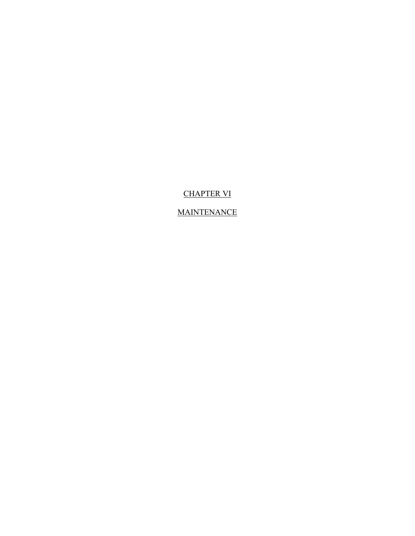# CHAPTER VI

## **MAINTENANCE**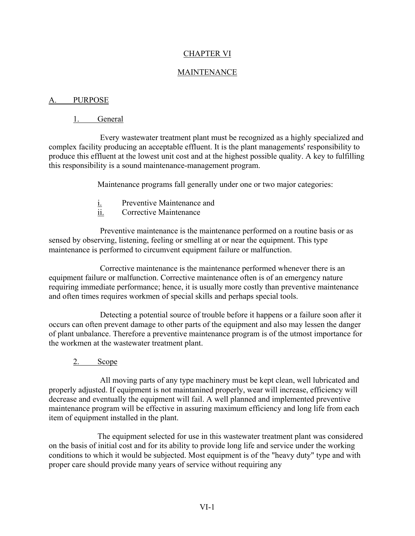### CHAPTER VI

### MAINTENANCE

### A. PURPOSE

### 1. General

Every wastewater treatment plant must be recognized as a highly specialized and complex facility producing an acceptable effluent. It is the plant managements' responsibility to produce this effluent at the lowest unit cost and at the highest possible quality. A key to fulfilling this responsibility is a sound maintenance-management program.

Maintenance programs fall generally under one or two major categories:

- i. Preventive Maintenance and
- ii. Corrective Maintenance

Preventive maintenance is the maintenance performed on a routine basis or as sensed by observing, listening, feeling or smelling at or near the equipment. This type maintenance is performed to circumvent equipment failure or malfunction.

Corrective maintenance is the maintenance performed whenever there is an equipment failure or malfunction. Corrective maintenance often is of an emergency nature requiring immediate performance; hence, it is usually more costly than preventive maintenance and often times requires workmen of special skills and perhaps special tools.

Detecting a potential source of trouble before it happens or a failure soon after it occurs can often prevent damage to other parts of the equipment and also may lessen the danger of plant unbalance. Therefore a preventive maintenance program is of the utmost importance for the workmen at the wastewater treatment plant.

2. Scope

All moving parts of any type machinery must be kept clean, well lubricated and properly adjusted. If equipment is not maintanined properly, wear will increase, efficiency will decrease and eventually the equipment will fail. A well planned and implemented preventive maintenance program will be effective in assuring maximum efficiency and long life from each item of equipment installed in the plant.

The equipment selected for use in this wastewater treatment plant was considered on the basis of initial cost and for its ability to provide long life and service under the working conditions to which it would be subjected. Most equipment is of the "heavy duty" type and with proper care should provide many years of service without requiring any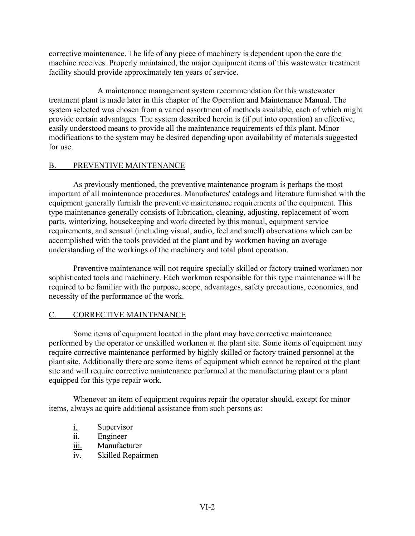corrective maintenance. The life of any piece of machinery is dependent upon the care the machine receives. Properly maintained, the major equipment items of this wastewater treatment facility should provide approximately ten years of service.

A maintenance management system recommendation for this wastewater treatment plant is made later in this chapter of the Operation and Maintenance Manual. The system selected was chosen from a varied assortment of methods available, each of which might provide certain advantages. The system described herein is (if put into operation) an effective, easily understood means to provide all the maintenance requirements of this plant. Minor modifications to the system may be desired depending upon availability of materials suggested for use.

### B. PREVENTIVE MAINTENANCE

As previously mentioned, the preventive maintenance program is perhaps the most important of all maintenance procedures. Manufactures' catalogs and literature furnished with the equipment generally furnish the preventive maintenance requirements of the equipment. This type maintenance generally consists of lubrication, cleaning, adjusting, replacement of worn parts, winterizing, housekeeping and work directed by this manual, equipment service requirements, and sensual (including visual, audio, feel and smell) observations which can be accomplished with the tools provided at the plant and by workmen having an average understanding of the workings of the machinery and total plant operation.

Preventive maintenance will not require specially skilled or factory trained workmen nor sophisticated tools and machinery. Each workman responsible for this type maintenance will be required to be familiar with the purpose, scope, advantages, safety precautions, economics, and necessity of the performance of the work.

### C. CORRECTIVE MAINTENANCE

Some items of equipment located in the plant may have corrective maintenance performed by the operator or unskilled workmen at the plant site. Some items of equipment may require corrective maintenance performed by highly skilled or factory trained personnel at the plant site. Additionally there are some items of equipment which cannot be repaired at the plant site and will require corrective maintenance performed at the manufacturing plant or a plant equipped for this type repair work.

Whenever an item of equipment requires repair the operator should, except for minor items, always ac quire additional assistance from such persons as:

- i. Supervisor
- ii. Engineer
- iii. Manufacturer
- iv. Skilled Repairmen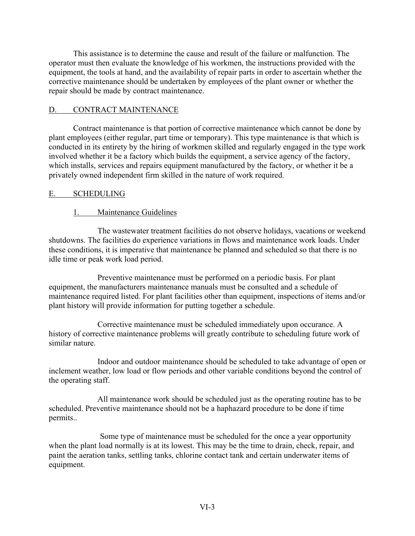This assistance is to determine the cause and result of the failure or malfunction. The operator must then evaluate the knowledge of his workmen, the instructions provided with the equipment, the tools at hand, and the availability of repair parts in order to ascertain whether the corrective maintenance should be undertaken by employees of the plant owner or whether the repair should be made by contract maintenance.

### D. CONTRACT MAINTENANCE

Contract maintenance is that portion of corrective maintenance which cannot be done by plant employees (either regular, part time or temporary). This type maintenance is that which is conducted in its entirety by the hiring of workmen skilled and regularly engaged in the type work involved whether it be a factory which builds the equipment, a service agency of the factory, which installs, services and repairs equipment manufactured by the factory, or whether it be a privately owned independent firm skilled in the nature of work required.

### E. SCHEDULING

## 1. Maintenance Guidelines

The wastewater treatment facilities do not observe holidays, vacations or weekend shutdowns. The facilities do experience variations in flows and maintenance work loads. Under these conditions, it is imperative that maintenance be planned and scheduled so that there is no idle time or peak work load period.

Preventive maintenance must be performed on a periodic basis. For plant equipment, the manufacturers maintenance manuals must be consulted and a schedule of maintenance required listed. For plant facilities other than equipment, inspections of items and/or plant history will provide information for putting together a schedule.

Corrective maintenance must be scheduled immediately upon occurance. A history of corrective maintenance problems will greatly contribute to scheduling future work of similar nature.

Indoor and outdoor maintenance should be scheduled to take advantage of open or inclement weather, low load or flow periods and other variable conditions beyond the control of the operating staff.

All maintenance work should be scheduled just as the operating routine has to be scheduled. Preventive maintenance should not be a haphazard procedure to be done if time permits..

Some type of maintenance must be scheduled for the once a year opportunity when the plant load normally is at its lowest. This may be the time to drain, check, repair, and paint the aeration tanks, settling tanks, chlorine contact tank and certain underwater items of equipment.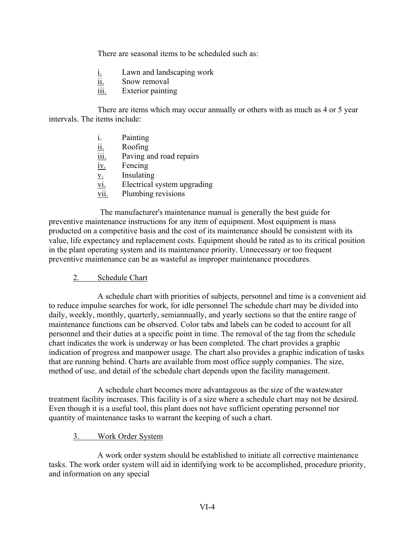There are seasonal items to be scheduled such as:

- i. Lawn and landscaping work
- ii. Snow removal
- iii. Exterior painting

There are items which may occur annually or others with as much as 4 or 5 year intervals. The items include:

- i. Painting
- ii. Roofing
- iii. Paving and road repairs
- iv. Fencing
- $\underline{v}$ . Insulating
- $\overline{vi.}$  Electrical system upgrading
- vii. Plumbing revisions

The manufacturer's maintenance manual is generally the best guide for preventive maintenance instructions for any item of equipment. Most equipment is mass producted on a competitive basis and the cost of its maintenance should be consistent with its value, life expectancy and replacement costs. Equipment should be rated as to its critical position in the plant operating system and its maintenance priority. Unnecessary or too frequent preventive maintenance can be as wasteful as improper maintenance procedures.

### 2. Schedule Chart

A schedule chart with priorities of subjects, personnel and time is a convenient aid to reduce impulse searches for work, for idle personnel The schedule chart may be divided into daily, weekly, monthly, quarterly, semiannually, and yearly sections so that the entire range of maintenance functions can be observed. Color tabs and labels can be coded to account for all personnel and their duties at a specific point in time. The removal of the tag from the schedule chart indicates the work is underway or has been completed. The chart provides a graphic indication of progress and manpower usage. The chart also provides a graphic indication of tasks that are running behind. Charts are available from most office supply companies. The size, method of use, and detail of the schedule chart depends upon the facility management.

A schedule chart becomes more advantageous as the size of the wastewater treatment facility increases. This facility is of a size where a schedule chart may not be desired. Even though it is a useful tool, this plant does not have sufficient operating personnel nor quantity of maintenance tasks to warrant the keeping of such a chart.

### 3. Work Order System

A work order system should be established to initiate all corrective maintenance tasks. The work order system will aid in identifying work to be accomplished, procedure priority, and information on any special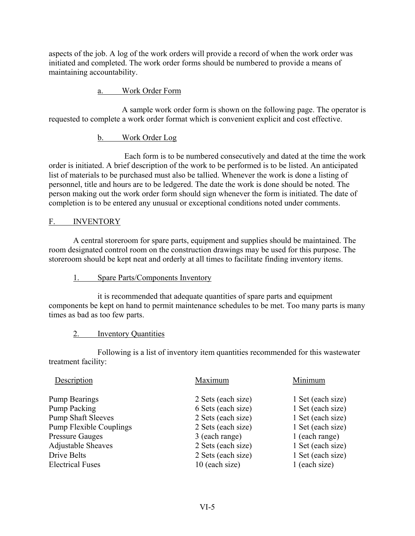aspects of the job. A log of the work orders will provide a record of when the work order was initiated and completed. The work order forms should be numbered to provide a means of maintaining accountability.

### a. Work Order Form

A sample work order form is shown on the following page. The operator is requested to complete a work order format which is convenient explicit and cost effective.

### b. Work Order Log

Each form is to be numbered consecutively and dated at the time the work order is initiated. A brief description of the work to be performed is to be listed. An anticipated list of materials to be purchased must also be tallied. Whenever the work is done a listing of personnel, title and hours are to be ledgered. The date the work is done should be noted. The person making out the work order form should sign whenever the form is initiated. The date of completion is to be entered any unusual or exceptional conditions noted under comments.

### F. INVENTORY

A central storeroom for spare parts, equipment and supplies should be maintained. The room designated control room on the construction drawings may be used for this purpose. The storeroom should be kept neat and orderly at all times to facilitate finding inventory items.

### 1. Spare Parts/Components Inventory

it is recommended that adequate quantities of spare parts and equipment components be kept on hand to permit maintenance schedules to be met. Too many parts is many times as bad as too few parts.

### 2. Inventory Quantities

Following is a list of inventory item quantities recommended for this wastewater treatment facility:

| Description                    | Maximum            | Minimum           |
|--------------------------------|--------------------|-------------------|
| <b>Pump Bearings</b>           | 2 Sets (each size) | 1 Set (each size) |
| Pump Packing                   | 6 Sets (each size) | 1 Set (each size) |
| <b>Pump Shaft Sleeves</b>      | 2 Sets (each size) | 1 Set (each size) |
| <b>Pump Flexible Couplings</b> | 2 Sets (each size) | 1 Set (each size) |
| <b>Pressure Gauges</b>         | 3 (each range)     | 1 (each range)    |
| <b>Adjustable Sheaves</b>      | 2 Sets (each size) | 1 Set (each size) |
| Drive Belts                    | 2 Sets (each size) | 1 Set (each size) |
| <b>Electrical Fuses</b>        | 10 (each size)     | 1 (each size)     |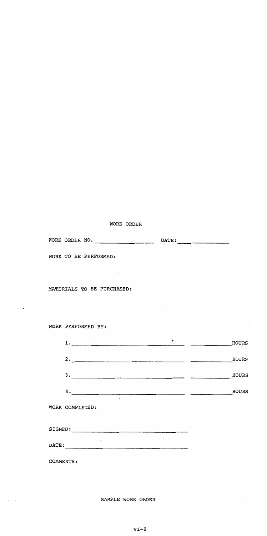#### WORK ORDER

 $\sim$ 

| WORK ORDER NO. |  | DATE: |  |
|----------------|--|-------|--|
|                |  |       |  |

WORK TO BE PERFORMED:

#### MATERIALS TO BE PURCHASED:

### WORK PERFORMED BY:

|    | ٠ | HOURS           |
|----|---|-----------------|
| 2. |   | HOURS           |
| 3. |   | HOURS           |
| 4. |   | HOURS<br>$\sim$ |

WORK COMPLETED:

SIGNED:

 $\texttt{DATE:}\footnotesize\begin{picture}(10,10) \put(0,0){\dashbox{0.5}(10,0){10}} \put(10,0){\dashbox{0.5}(10,0){10}} \put(10,0){\dashbox{0.5}(10,0){10}} \put(10,0){\dashbox{0.5}(10,0){10}} \put(10,0){\dashbox{0.5}(10,0){10}} \put(10,0){\dashbox{0.5}(10,0){10}} \put(10,0){\dashbox{0.5}(10,0){10}} \put(10,0){\dashbox{0.5}(10,0){10}} \put(10,0$ 

COMMENTS:

SAMPLE WORK ORDER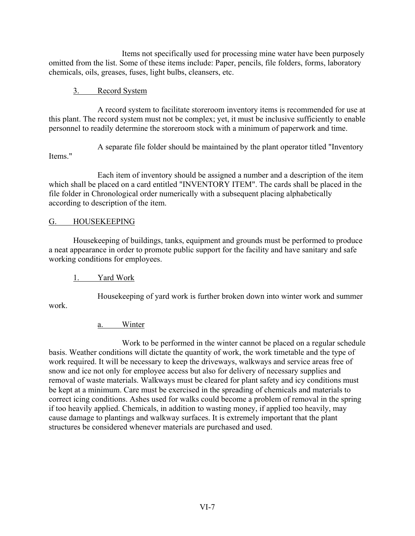Items not specifically used for processing mine water have been purposely omitted from the list. Some of these items include: Paper, pencils, file folders, forms, laboratory chemicals, oils, greases, fuses, light bulbs, cleansers, etc.

### 3. Record System

A record system to facilitate storeroom inventory items is recommended for use at this plant. The record system must not be complex; yet, it must be inclusive sufficiently to enable personnel to readily determine the storeroom stock with a minimum of paperwork and time.

A separate file folder should be maintained by the plant operator titled "Inventory

Items."

Each item of inventory should be assigned a number and a description of the item which shall be placed on a card entitled "INVENTORY ITEM". The cards shall be placed in the file folder in Chronological order numerically with a subsequent placing alphabetically according to description of the item.

## G. HOUSEKEEPING

Housekeeping of buildings, tanks, equipment and grounds must be performed to produce a neat appearance in order to promote public support for the facility and have sanitary and safe working conditions for employees.

# 1. Yard Work

Housekeeping of yard work is further broken down into winter work and summer

work.

# a. Winter

Work to be performed in the winter cannot be placed on a regular schedule basis. Weather conditions will dictate the quantity of work, the work timetable and the type of work required. It will be necessary to keep the driveways, walkways and service areas free of snow and ice not only for employee access but also for delivery of necessary supplies and removal of waste materials. Walkways must be cleared for plant safety and icy conditions must be kept at a minimum. Care must be exercised in the spreading of chemicals and materials to correct icing conditions. Ashes used for walks could become a problem of removal in the spring if too heavily applied. Chemicals, in addition to wasting money, if applied too heavily, may cause damage to plantings and walkway surfaces. It is extremely important that the plant structures be considered whenever materials are purchased and used.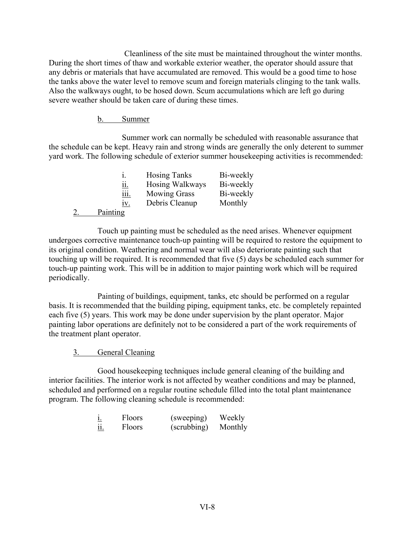Cleanliness of the site must be maintained throughout the winter months. During the short times of thaw and workable exterior weather, the operator should assure that any debris or materials that have accumulated are removed. This would be a good time to hose the tanks above the water level to remove scum and foreign materials clinging to the tank walls. Also the walkways ought, to be hosed down. Scum accumulations which are left go during severe weather should be taken care of during these times.

### b. Summer

Summer work can normally be scheduled with reasonable assurance that the schedule can be kept. Heavy rain and strong winds are generally the only deterent to summer yard work. The following schedule of exterior summer housekeeping activities is recommended:

|             | <b>Hosing Tanks</b> | Bi-weekly |
|-------------|---------------------|-----------|
| 11.         | Hosing Walkways     | Bi-weekly |
| <u>111.</u> | <b>Mowing Grass</b> | Bi-weekly |
| 1V.         | Debris Cleanup      | Monthly   |
| Painting    |                     |           |

Touch up painting must be scheduled as the need arises. Whenever equipment undergoes corrective maintenance touch-up painting will be required to restore the equipment to its original condition. Weathering and normal wear will also deteriorate painting such that touching up will be required. It is recommended that five (5) days be scheduled each summer for touch-up painting work. This will be in addition to major painting work which will be required periodically.

Painting of buildings, equipment, tanks, etc should be performed on a regular basis. It is recommended that the building piping, equipment tanks, etc. be completely repainted each five (5) years. This work may be done under supervision by the plant operator. Major painting labor operations are definitely not to be considered a part of the work requirements of the treatment plant operator.

#### 3. General Cleaning

Good housekeeping techniques include general cleaning of the building and interior facilities. The interior work is not affected by weather conditions and may be planned, scheduled and performed on a regular routine schedule filled into the total plant maintenance program. The following cleaning schedule is recommended:

| <u>1.</u>            | <b>Floors</b> | (sweeping)  | Weekly  |
|----------------------|---------------|-------------|---------|
| $\cdot \cdot$<br>11. | Floors        | (scrubbing) | Monthly |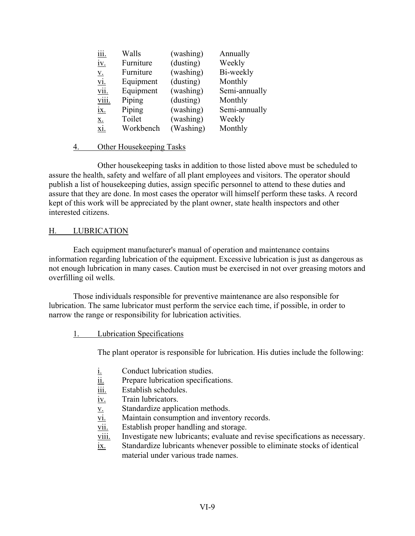| <u>iii.</u>  | Walls     | (washing) | Annually      |
|--------------|-----------|-----------|---------------|
| <u>iv.</u>   | Furniture | (dusting) | Weekly        |
| <u>V.</u>    | Furniture | (washing) | Bi-weekly     |
| <u>vi.</u>   | Equipment | (dusting) | Monthly       |
| vii.         | Equipment | (washing) | Semi-annually |
| <u>viii.</u> | Piping    | (dusting) | Monthly       |
| <u>ix.</u>   | Piping    | (washing) | Semi-annually |
| X.           | Toilet    | (washing) | Weekly        |
| xi.          | Workbench | (Washing) | Monthly       |

### 4. Other Housekeeping Tasks

Other housekeeping tasks in addition to those listed above must be scheduled to assure the health, safety and welfare of all plant employees and visitors. The operator should publish a list of housekeeping duties, assign specific personnel to attend to these duties and assure that they are done. In most cases the operator will himself perform these tasks. A record kept of this work will be appreciated by the plant owner, state health inspectors and other interested citizens.

### H. LUBRICATION

Each equipment manufacturer's manual of operation and maintenance contains information regarding lubrication of the equipment. Excessive lubrication is just as dangerous as not enough lubrication in many cases. Caution must be exercised in not over greasing motors and overfilling oil wells.

Those individuals responsible for preventive maintenance are also responsible for lubrication. The same lubricator must perform the service each time, if possible, in order to narrow the range or responsibility for lubrication activities.

### 1. Lubrication Specifications

The plant operator is responsible for lubrication. His duties include the following:

- i. Conduct lubrication studies.
- ii. Prepare lubrication specifications.
- iii. Establish schedules.
- iv. Train lubricators.
- v. Standardize application methods.
- vi. Maintain consumption and inventory records.
- vii. Establish proper handling and storage.
- viii. Investigate new lubricants; evaluate and revise specifications as necessary.
- ix. Standardize lubricants whenever possible to eliminate stocks of identical material under various trade names.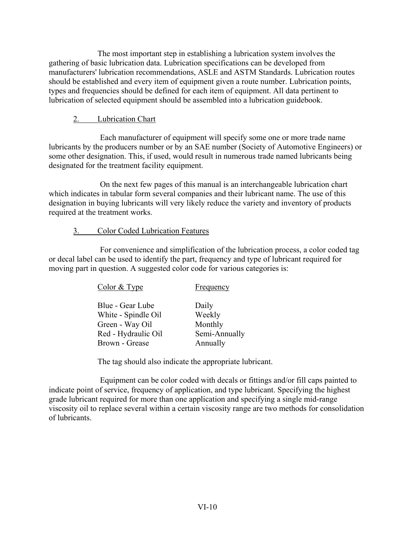The most important step in establishing a lubrication system involves the gathering of basic lubrication data. Lubrication specifications can be developed from manufacturers' lubrication recommendations, ASLE and ASTM Standards. Lubrication routes should be established and every item of equipment given a route number. Lubrication points, types and frequencies should be defined for each item of equipment. All data pertinent to lubrication of selected equipment should be assembled into a lubrication guidebook.

## 2. Lubrication Chart

Each manufacturer of equipment will specify some one or more trade name lubricants by the producers number or by an SAE number (Society of Automotive Engineers) or some other designation. This, if used, would result in numerous trade named lubricants being designated for the treatment facility equipment.

On the next few pages of this manual is an interchangeable lubrication chart which indicates in tabular form several companies and their lubricant name. The use of this designation in buying lubricants will very likely reduce the variety and inventory of products required at the treatment works.

## 3. Color Coded Lubrication Features

For convenience and simplification of the lubrication process, a color coded tag or decal label can be used to identify the part, frequency and type of lubricant required for moving part in question. A suggested color code for various categories is:

| Color & Type                                                                                        | Frequency                                               |
|-----------------------------------------------------------------------------------------------------|---------------------------------------------------------|
| Blue - Gear Lube<br>White - Spindle Oil<br>Green - Way Oil<br>Red - Hydraulic Oil<br>Brown - Grease | Daily<br>Weekly<br>Monthly<br>Semi-Annually<br>Annually |
|                                                                                                     |                                                         |

The tag should also indicate the appropriate lubricant.

Equipment can be color coded with decals or fittings and/or fill caps painted to indicate point of service, frequency of application, and type lubricant. Specifying the highest grade lubricant required for more than one application and specifying a single mid-range viscosity oil to replace several within a certain viscosity range are two methods for consolidation of lubricants.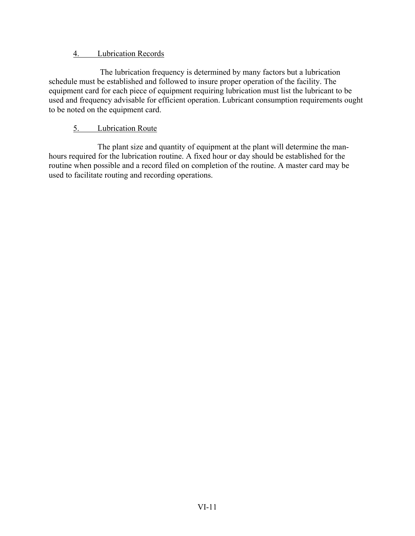## 4. Lubrication Records

The lubrication frequency is determined by many factors but a lubrication schedule must be established and followed to insure proper operation of the facility. The equipment card for each piece of equipment requiring lubrication must list the lubricant to be used and frequency advisable for efficient operation. Lubricant consumption requirements ought to be noted on the equipment card.

# 5. Lubrication Route

The plant size and quantity of equipment at the plant will determine the manhours required for the lubrication routine. A fixed hour or day should be established for the routine when possible and a record filed on completion of the routine. A master card may be used to facilitate routing and recording operations.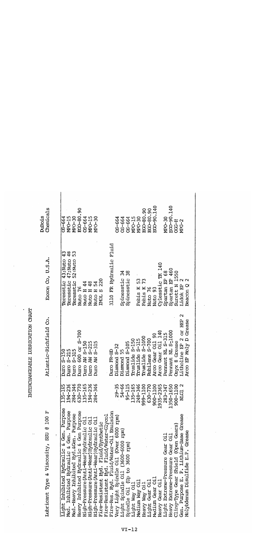| Chemicals<br>DuBois                                       | ECO-90.140<br>ECO-90.140<br>EGO-80.90<br>EGO-80.90<br>EGO-80.90<br>08-664<br>MPO-15<br>MPO-30<br>03-664<br>MPO-15<br>MPO-30<br>MPO-30<br>09-064<br>CS-664<br>MPO-30<br>MPO-15<br>09-50<br><b>R-520</b><br>MPG-2                                                                                                                                                                                                                                                                                                                                                                                                                                                                                                                                                                                                                                             |
|-----------------------------------------------------------|-------------------------------------------------------------------------------------------------------------------------------------------------------------------------------------------------------------------------------------------------------------------------------------------------------------------------------------------------------------------------------------------------------------------------------------------------------------------------------------------------------------------------------------------------------------------------------------------------------------------------------------------------------------------------------------------------------------------------------------------------------------------------------------------------------------------------------------------------------------|
| Exxon Co, U.S.A.                                          | 3110 FR Hydraulic Fluid<br>48<br>53<br>Teresstic 43; Nuto 43<br>Teresstic 52:Nuto<br>47; Nuto<br>Cylesstic TK 140<br>Spartan EP 460<br>Spartan EP 68<br>Surett N 1550<br>38<br>34<br>Spinesstic<br>Spinesstic<br>Beacon Q 2<br>Febis K 53<br><b>INOL S 220</b><br>Febis K 73<br>Teresstic<br>Lidok EP 2<br>Nuto H 44<br>H 48<br>Nuto H 54<br>Nuto 76<br>Nuto 76<br>Nuto 93<br>Nuto <sup>1</sup>                                                                                                                                                                                                                                                                                                                                                                                                                                                             |
| Atlantic-Richfield Co.                                    | Litholine EP 2 or HEP 2<br>Arco EP Moly D Grease<br>600 or S-700<br>Arco Gear Oil 140<br>Pennant NL S <sub>3</sub> 1000<br>Pennant NL S-315<br>ິ<br>ຈ<br>Pruslide S-1000<br>Rubilene S-700<br>Pruslide S-150<br>Pruslide S-315<br>Arco Gear Oil<br>AW S-150<br>AW S-215<br>AW S-315<br>Diamond S-105<br>Onyx 8 Grease<br>Diamond S-32<br>$5 - 215$<br>$5 - 315$<br>Diamond 55<br>$S - 150$<br>Duro FR-HD<br>Duro<br>DULC<br>Duro<br>Duro<br>orn<br>Duro<br>OmC                                                                                                                                                                                                                                                                                                                                                                                              |
|                                                           | 194-236<br>284-346<br>630-770<br>135-165<br>194-236<br>284-346<br>$\overline{65}$<br>54-66<br>65<br>9Þ<br>65<br>95-115<br>δū<br>999-1100<br>ρς<br>50<br>900-1100<br>47<br>$135 - 1$<br>$135 - 1$<br>$29 -$<br>$135 - 1$<br>$248 - 3$<br>630-7<br>$900 - 11$<br>$1935 - 23$<br>$283 - 3$<br>1350-16<br>NIG1                                                                                                                                                                                                                                                                                                                                                                                                                                                                                                                                                  |
| Lubricant Type & Viscosity, SSU @ 100 F<br>$\ddot{\cdot}$ | Light Inhibited Hydraulic & Gen. Purpose<br>Med. Inhibited Hydraulic & Gen. Purpose<br>Heavy Inhibited Hydraulic & Gen Purpose<br>Fire-Res. Hyd. Fluid/Water-Oil Emulsion<br>Very Light Spindle Oil (Over 6000 rpm)<br>Med.-Heavy Inhibited Hyd. &Gen. Purpose<br>Gen. Purpose E. P. Lithium-Base Grease<br>Fire-Resistant Hyd. Fluid/Synthetic<br>Fire-Resistant Hyd. Fluid/Water-Glycol<br>High-Pressure (Anti-Wear) Hydraulic Oil<br>High-Pressure (Anti-Wear) Hydraulic Oil<br>High-Pressure (Anti-Wear) Hydraulic Oil<br>Cling-Type Gear Shield (Open Gears)<br>Light Spindle Oil (3600-6000 rpm)<br>Molybdenum Disulfide E.P. Grease<br>Heavy Extreme-Pressure Gear Oil<br>Light Extreme-Pressure Gear Oil<br>Spindle Oil (Up to 3600 rpm)<br>Medium Gear Oil<br>Heavy Gear Oil<br>Light Gear Oil<br>Medium Way Oil<br>Light Way Oil<br>Heavy Way Oil |

INTERCHANGEABLE LUBRICATION CHART

..

 $\cdot$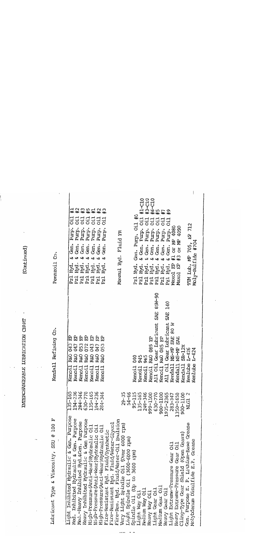|                                                                                    |                        | INTERCHANGEABLE LUBRICATION CHART                                            | (Continued)                                                                                                              |
|------------------------------------------------------------------------------------|------------------------|------------------------------------------------------------------------------|--------------------------------------------------------------------------------------------------------------------------|
|                                                                                    |                        |                                                                              |                                                                                                                          |
| Lubricant Type & Viscosity, SSU @ 100 F                                            |                        | Kendall Refining Co.                                                         | ပ္ပံ<br>Pennzoil                                                                                                         |
| Purpose<br>Light Inhibited Hydraulic & Gen.                                        | 135-165                | 出<br>043<br>R&O<br>Kenoil                                                    | ;;<br>ö<br>Purp.<br>Gen.<br>ىخ<br>Hyd<br>Pz1                                                                             |
| Med. Inhibited Hydraulic & Gen. Purpose<br>Med.-Heavy Inhibited Hyd. &Gen. Purpose | 284-346<br>$194 - 236$ | 먽<br>047<br>R&O<br>Kenoil                                                    | Purp.<br>Gen.<br>ى<br>Hyd.<br>Pz1                                                                                        |
| Heavy Inhibited Hydraulic & Gen Purpose                                            | 630-770                | 出<br>出<br>053<br>072<br><b>R&amp;O</b><br><b>R&amp;O</b><br>Kenoil<br>Kenoil | <b>2 3 5 4 年 半 半 半 半 半 半 半 半 半 半 半 半 半 半</b><br>333<br>Purp.<br>Gen.<br>ى<br>ى<br>Hyd.<br>Pz1<br>Pz1                     |
| High-Pressure (Anti-Wear) Hydraulic Oil                                            | 135-165                | 日<br><b>R&amp;O</b><br>Kenoil                                                | Purp.<br>Purp.<br>Gen.<br>Ġ.<br>ø<br>Hyd.<br>Hyd.<br>Pz1                                                                 |
| High-Pressure (Anti-Wear) Hydraulic Oil                                            | $194 - 236$            | 日<br>047<br>053<br><b>R&amp;O</b><br>Kenoil                                  | Purp.<br>Gen.<br>ىخ<br>Hyd.<br>P <sub>2</sub>                                                                            |
| High-Pressure (Anti-Wear) Hydraulic Oil<br>Fire-Resistant Hyd. Fluid/Synthetic     | 284-346                | 白<br><b>B&amp;O</b><br>Kenoil                                                | 333<br>Purp.<br>Ġ.<br>Hyd.<br>Pz1                                                                                        |
| Fluid/Water-Glycol<br>Fire-Resistant Hyd.                                          |                        |                                                                              |                                                                                                                          |
| Fire-Res. Hyd. Fluid/Water-Oil Emulsion<br>Very Light Spindle 0il (Over 6000 rpm)  | $29 - 35$              |                                                                              | Maxmul Hyd. Fluid FR                                                                                                     |
| Light Spindle Oil (3600-6000 rpm)                                                  | $54 - 66$              |                                                                              |                                                                                                                          |
| (Up to 3600 rpm)<br>Spindle Oil                                                    | 95-115                 | 040<br>Kenoi1                                                                | ≆<br>Gen. Purp. Oil<br>Pzl Hyd.                                                                                          |
| Light Way Oil                                                                      | 135-165                | 945<br>965<br>Kenoil                                                         | $#1 - C10$<br>O <sub>i</sub> 1<br>Purp.<br>$\frac{1}{2}$ Gen.<br>Hyd.<br>Pz1                                             |
| Medium Way Oil                                                                     | 248-346                | Kenoil                                                                       | cid<br>Purp.<br>Ġn.<br>z<br>Hyd.<br>Pz1                                                                                  |
| Heavy Way Oil                                                                      | 999-1100               | R&O 085 EP<br>Kenoil                                                         | Ci.<br>Purp.<br>Gen.<br>ى<br>Hyd.<br>Pz1                                                                                 |
| Light Gear Oil                                                                     | 630-770                | 85 <sub>W</sub> -90<br><b>SAE</b><br>Gear Lubricant<br>A11 Oi1               | G <sub>i</sub><br>Purp.<br>Gen.<br>ى<br>Hyd.<br>Pz1                                                                      |
| Medium Gear Oil                                                                    | 900-1100               | R&O 085 EP<br>Kenoil                                                         | $\begin{array}{l} +3 - 010 \\ +6 - 010 \\ +5 \\ +7 \end{array}$<br>O <sub>i</sub> 1<br>Purp.<br>Gen.<br>ى<br>Hyd.<br>Pz1 |
| Heavy Gear Oil                                                                     | 1935-2365              | 140<br>SAE<br>Gear Lubricant<br>A11 Oi1                                      | $\frac{4}{3}$<br><sub>ci</sub> o<br>Purp.<br>& Gen.<br>Hyd.<br>Pz1                                                       |
| Light Extreme-Pressure Gear 0il                                                    | $283 - 347$            | 80 W<br><b>SAE</b><br>NS-MP<br>Kendall                                       | OF MP 4080<br>$\sharp$<br><b>E</b><br>Maxol                                                                              |
| Heavy Extreme-Pressure Gear Oil                                                    | 1350-1650              | <b>SAE</b><br><b>NS-MP</b><br>Kendall                                        | 4090<br>Or MP<br>#3<br>Maxol EP                                                                                          |
| Cling-Type Gear Shield (Open Gears)                                                | 900-1100               | $SR-12X$<br>Kendall                                                          |                                                                                                                          |
| Gen. Purpose E. P. Lithium-Base Grease                                             | NLG1                   | $L - 426$<br>Kenlube                                                         | 712<br>Ê<br>TIM Lub, MP 705,                                                                                             |
| Molybdenum Disulfide E.P. Grease                                                   |                        | L-424<br>Kenlube                                                             | Moly-Sulfide #704                                                                                                        |
|                                                                                    |                        |                                                                              |                                                                                                                          |

 $\epsilon$ 

 $\mathbf{v} = \mathbf{v}$ 

 $\sim$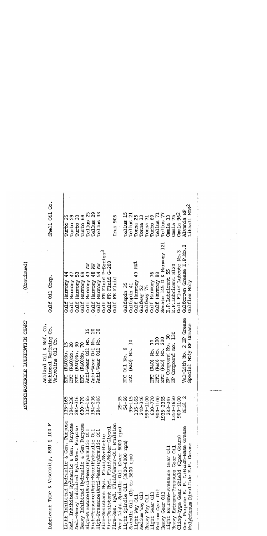| ubricant Type & Viscosity, SSU @ 100 F<br>Ą, |             | Ashland Oil & Ref. Co.<br>National Refining Co.<br>Valvoline Oil Co. | Gulf Oil Corp.                         | Shell Oil Co.                       |
|----------------------------------------------|-------------|----------------------------------------------------------------------|----------------------------------------|-------------------------------------|
| ight Inhibited Hydraulic & Gen. Purpose      | $-35 - 165$ | (R&O) No. 15<br>ETC                                                  | Harmony<br>Gulf                        | Turbo                               |
| ed. Inhibited Hydraulic & Gen. Purpose       | 194-236     | $\overline{c}$<br>(R&O) No.<br>ETC                                   | Harmony<br>Gulf                        | 29<br>Turbo                         |
| ed.-Heavy Inhibited Hyd. & Gen. Purpose      | 284-346     | ౚ<br>(R&O) No.<br>ETC                                                | Harmony<br>Gulf                        | 33<br>Turbo                         |
| leavy Inhibited Hydraulic & Gen Purpose      | $630 - 770$ | (R&O)No.<br>ETC                                                      | $\overline{6}9$<br>Harmony<br>Gulf     | δ9<br>Turbo                         |
| iigh-Pressure (Anti-Wear) Hydraulic Oil      | 135-165     | 51<br>Anti-Wear Oil No.                                              | ă<br>Harmony<br>Gulf                   | 25<br>Tellus                        |
| iigh-Pressure (Anti-Wear) Hydraulic Oil      | 194-236     | $\Omega$<br>No.<br>Anti-Wear Oil                                     | Harmony 48 AW<br>Gulf                  | 29<br>Tellus                        |
| iigh-Pressure (Anti-Wear) Hydraulic Oil      | 284-346     | $\overline{30}$<br>No.<br>$\overline{c}$<br>Anti-Wear                | Harmony 54 AW<br>Gulf                  | Tellus                              |
| ire-Resistant Hyd. Fluid/Synthetic           |             |                                                                      | FR Fluid P-Series <sup>3</sup><br>Gulf |                                     |
| ire-Resistant Hyd. Fluid/Water-Glycol        |             |                                                                      | FR Fluid G-200<br>Gulf                 |                                     |
| ire-Res. Hyd. Fluid/Water-Oil Emulsion       |             |                                                                      | Fluid<br>E<br>Gulf                     | Irus 905                            |
| ery Light Spindle Oil (Over 6000 rpm)        | $29 - 35$   |                                                                      |                                        |                                     |
| ight Spindle Oil (3600-6000 rpm)             | $54 - 66$   | ETC Oil No. 6                                                        | Gulfspin 35                            | Tellus 15                           |
| pindle 0il (Up to 3600 rpm)                  | $95 - 11$   | $\Xi$<br>(R&O) No.<br>ETC                                            | Gulfspin 41                            | $\overline{\mathfrak{c}}$<br>Tellus |
| Lio yaw dipt.                                | 135-165     |                                                                      | Gulf Harmony 43 AW <sup>1</sup>        | Toma <sub>25</sub>                  |
| <b>Edium</b> Way Oil                         | 248-346     |                                                                      |                                        | Tonna                               |
| leavy Way Oil                                | 999-1100    |                                                                      | Gulfway 52<br>Gulfway 75               | Tonna 71                            |
| lght Gear Oil                                | 630-77      | (R&O) No. 70<br>(R&O) No. 100<br>(R&O) No. 200<br>EC                 | Gulf Harmony 76                        | Turbo 69                            |
| edium Gear Oil                               | 900-1100    | EIC                                                                  | Gulf Harmony 88                        | Tellus                              |
| ieavy Gear Oil                               | 1935-2365   | <b>DEE</b>                                                           | Senate 145 D & Harmony 121             | Tellus 77                           |
| ight Extreme-Pressure Gear Oil               | $283 - 347$ | Compound No. 30<br>å                                                 | E.P.Lubricant 55                       | 33<br><b>Crnala</b>                 |
| leavy Extreme-Pressure Gear Oil              | 1350-1650   | EP Compound No. 130                                                  | E.P.Lubricant S120                     | Omala 75                            |
| ling-Type Gear Shield (Open Gears)           | 900-1100    |                                                                      | Gulf Fluid Lubcote No.3                | Omala 962                           |
| Gen. Purpose E. P. Lithium-Base Grease       | NLG1        | Val-Lith No. 2 EP Grease                                             | Gulfarown Grease E.P.No.2              | Alvania EP                          |
| olybdenum Disulfide E.P. Grease              |             | Special Moly EP Grease                                               | Gulflex Moly                           | Lithall MDS <sup>2</sup>            |
|                                              |             |                                                                      |                                        |                                     |

 $\frac{1}{2}$ 

(Continued)

INTERCHANGEABLE IJJBRICATION CHART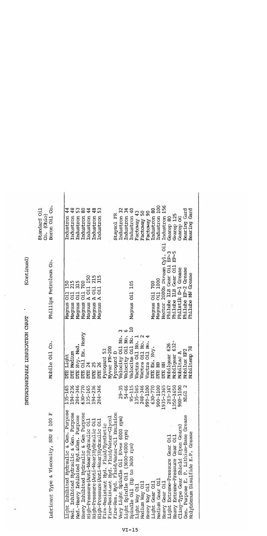|                                                                                     |                                                                 | INTERCHANGEABLE LUBRICATION CHART | (Continued)                          |                             |
|-------------------------------------------------------------------------------------|-----------------------------------------------------------------|-----------------------------------|--------------------------------------|-----------------------------|
| ٠.                                                                                  |                                                                 |                                   |                                      | Standard Oil<br>Co. (Ohio)  |
| Lubricant Type & Viscosity, SSU @ 100 F<br>$\ddot{\cdot}$                           |                                                                 | Mobile Oil Co.                    | Phillips Petroleum Co.               | ઙં<br>Boron Oil             |
| Light Inhibited Hydraulic & Gen. Purpose                                            | $135 - 165$                                                     | Light<br>DTE                      | 150<br>Ci1<br>Magnus                 | Industron                   |
| Med. Inhibited Hydraulic & Gen. Purpose                                             | 194-236<br>284-346<br>630-770<br>630-7165<br>194-236<br>194-346 | Medium<br>DIE<br>買                | 215<br>315<br>Magnus Oil             | 48<br>Industron             |
| Heavy Inhibited Hydraulic & Gen Purpose<br>Med.-Heavy Inhibited Hyd. & Gen. Purpose |                                                                 | Oil Ex. Heavy<br>Hvy. Med.<br>Ë   | 700<br>Magnus Oil<br>Cid<br>Magnus   | ဓ<br>Industron<br>Industron |
| High-Pressure (Anti-Wear) Hydraulic Oil                                             |                                                                 | 24<br>Ë                           | 150<br>A Oil<br>Magnus               | Industron                   |
| High-Pressure (Anti-Wear) Hydraulic Oil                                             |                                                                 | 25<br>Ë                           | 215<br>Magnus A Oil                  | 48<br>Industron             |
| High-Pressure (Anti-Wear) Hydraulic Oil                                             |                                                                 | 26<br>E                           | A Oil<br>Magnus                      | Industron                   |
| Fire-Resistant Hyd. Fluid/Synthetic                                                 |                                                                 | Pyrogard 53                       |                                      |                             |
| Fire-Resistant Hyd. Fluid/Water-Glycol                                              |                                                                 | Nyvac FR-200                      |                                      |                             |
| Fire-Res. Hyd. Fluid/Water-Oil Emulsion                                             |                                                                 | Pyrogard                          |                                      | Staysol FR                  |
| Very Light Spindle Oil (Over 6000 rpm)                                              | $29 - 35$                                                       | No.<br>Velocity Oil               |                                      | Industron                   |
| Light Spindle Oil (3600-6000 rpm)                                                   | $54 - 66$                                                       | Velocity Oil No.                  |                                      | Industron                   |
| Spindle 0i1 (Up to 3600 rpm)                                                        | $95 - 115$                                                      | Velocite Oil No.                  | 105<br>Magnus Oil                    | $\overline{6}$<br>Industron |
| Light Way Oil                                                                       | $135 - 16!$                                                     | Vactra Oil No.                    |                                      | Factoway 43                 |
| Medium Way Oil                                                                      | $248 - 34$                                                      | Vactra Oil No.                    |                                      | Factoway 50                 |
| Heavy Way Oil                                                                       | 999-110                                                         | Vactra Oil No.                    |                                      | 90<br>Factoway              |
| Light Gear Oil                                                                      | $630 - 771$                                                     | Hvy.<br>š.<br>Ë                   | Magnus Oil 700                       | Industron                   |
| Nedium Gear Oil                                                                     | 900-1100                                                        | BB<br>E                           | Magnus Oil 1000                      | 100<br>Industron            |
| Heavy Gear Oil                                                                      | 1935-2365                                                       | <b>HH</b>                         | Hector 2000S Stream Cyl. Oil         | 56<br>Industron             |
| Light Extreme-Pressure Gear Oil                                                     | $283 - 347$                                                     | Mobilgear 626                     | $E^{p-3}$<br>Philube LLB Gear Oil    | Gearep 80                   |
| Heavy Extreme-Pressure Gear Oil                                                     | 1350-165                                                        | 632*<br>Mobilgear                 | $E^{p-5}$<br>IIB Gear Oil<br>Philube | Gearep 125                  |
| Cling-Type Gear Shield (Open Gears)                                                 | 900-110                                                         | Mobiltac A                        | Philstik D-1 Grease                  | Gearep OC                   |
| Gen. Purpose E. P. Lithium-Base Grease                                              | NIG1                                                            | Mobilux EP2                       | Philube EP-2 Grease                  | Bearing Gard                |
| Molybdenum Disulfide E.P. Grease                                                    |                                                                 | Mobiltemp 78                      | Philube MW Grease                    | Bearing Gard                |
|                                                                                     |                                                                 |                                   |                                      |                             |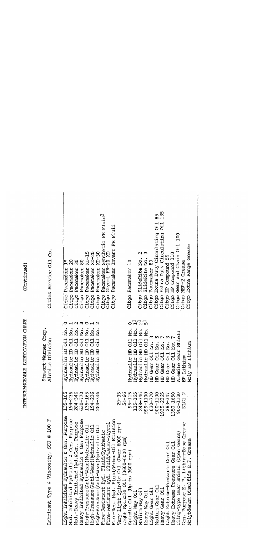| Lubricant Type & Viscosity, SSU @ 100 F                                                                                                                                                                                                                                                                                                                                                                                                                                                                                                                                                                                                                                                                                                                                                                                                                       |                                                                                                                                                                                                                             | Stewart-Warner Corp.<br>Alemite Division                                                                                                                                                                                                                                                                                                                                                                                                                                                                                                                                                            | Cities Service Oil Co.                                                                                                                                                                                                                                                                                                                                                                                                                                                                                                                                                                                                                                                                                                                          |
|---------------------------------------------------------------------------------------------------------------------------------------------------------------------------------------------------------------------------------------------------------------------------------------------------------------------------------------------------------------------------------------------------------------------------------------------------------------------------------------------------------------------------------------------------------------------------------------------------------------------------------------------------------------------------------------------------------------------------------------------------------------------------------------------------------------------------------------------------------------|-----------------------------------------------------------------------------------------------------------------------------------------------------------------------------------------------------------------------------|-----------------------------------------------------------------------------------------------------------------------------------------------------------------------------------------------------------------------------------------------------------------------------------------------------------------------------------------------------------------------------------------------------------------------------------------------------------------------------------------------------------------------------------------------------------------------------------------------------|-------------------------------------------------------------------------------------------------------------------------------------------------------------------------------------------------------------------------------------------------------------------------------------------------------------------------------------------------------------------------------------------------------------------------------------------------------------------------------------------------------------------------------------------------------------------------------------------------------------------------------------------------------------------------------------------------------------------------------------------------|
| Light Inhibited Hydraulic & Gen. Purpose<br>Heavy Inhibited Hydraulic & Gen Purpose<br>Fire-Res. Hyd. Fluid/Water-Oil Emulsion<br>Med. Inhibited Hydraulic & Gen. Purpose<br>Med.-Heavy Inhibited Hyd. &Gen. Purpose<br>Gen. Purpose E. P. Lithium-Base Grease<br>Fire-Resistant Hyd. Fluid/Synthetic<br>Fire-Resistant Hyd. Fluid/Water-Glycol<br>Very Light Spindle Oil (Over 6000 rpm)<br>High-Pressure (Anti-Wear) Hydraulic Oil<br>High-Pressure (Anti-Wear) Hydraulic Oil<br>High-Pressure (Anti-Wear) Hydraulic Oil<br>(Open Gears)<br>ight Spindle Oil (3600-6000 rpm)<br>Molybdenum Disulfide E.P. Grease<br>Heavy Extreme-Pressure Gear Oil<br>Light Extreme-Pressure Gear Oil<br>Spindle 0il (Up to 3600 rpm)<br>Cling-Type Gear Shield<br>Nedium Gear Oil<br>Nedium Way Oil<br>Light Gear Oil<br>Heavy Gear Oil<br>Light Way Oil<br>Heavy Way Oil | 135-165<br>194-346<br>284-346<br>630-7165<br>194-326<br>284-346<br>29-35<br>54-66<br>54-115<br>95-115<br>95-1100<br>285-2365<br>280-1100<br>85-2365<br>280-1100<br>280-1100<br>280-1100<br>280-1100<br>280-1100<br>280-1100 | 111<br>ġ.<br>ġ.<br>Ńo.<br>g.<br>Νo.<br>χò.<br>ġ.<br>ġ.<br>ė.<br>ؤ<br>ż<br>Alemite Gear Shield<br>Ci.<br>Oi1<br>O <sub>i</sub> 1<br>Of1<br>Oi1<br>Oil<br>Oi1<br>O11<br>Oi <sub>1</sub><br>Moly EP Lithium<br>Νo.<br>Ń.<br>HD Gear Oil No.<br>ġ.<br>Oil No:<br>日<br>Hydraulic HD<br>且<br>且<br>Hydraulic HD<br>田<br>요<br>且<br>旵<br>Hydraulic HD<br>且<br>C <sub>i</sub><br>O <sub>i</sub> 1<br>D <sub>i</sub><br>EP Lithium<br>Hydraulic<br>Hydraulic<br>Hydraulic<br>Hydraulic<br>Hydraulic<br>Hydraulic<br>Hydraulic<br>Hydraulic<br><b>HD</b> Gear<br>Gear<br>HD Gear<br>Gear<br>且<br>$\overline{E}$ | 135<br>85<br>Pacemaker Synthetic FR Fluid <sup>3</sup><br>Glycol FR-20 XD<br>$\frac{11}{21}$<br>Invert FR Fluid<br>Extra Duty Circulating<br>Extra Duty Circulating<br>100<br>Extra Range Grease<br>Gear and Chain Oil<br>$20 - 15$<br>$\tan^{-20}$<br>$XD-30$<br>$\mathbf 2$<br>m<br>OTT<br>EP Compound 55<br>SlideRite No.<br>SlideRite No.<br>20<br>30<br>80<br>$\overline{a}$<br>Pacemaker 80<br>HEP-2 Grease<br>EP Compound<br>Citgo Pacemaker<br>Pacemaker<br>Pacemaker<br>Pacemaker<br>Pacemaker<br>Pacemaker<br>Pacemaker<br>Pacemaker<br>Pacemaker<br>Citgo<br>Citgo<br>Citgo<br>Citgo<br>Citgo<br>Citgo<br>Citgo<br>Citgo<br>Citgo<br>Citgo<br>Citgo<br>Citgo<br>Citgo<br>Citgo<br>Citgo<br>Citgo<br>Citgo<br>Citgo<br>Citgo<br>Citgo |
|                                                                                                                                                                                                                                                                                                                                                                                                                                                                                                                                                                                                                                                                                                                                                                                                                                                               |                                                                                                                                                                                                                             |                                                                                                                                                                                                                                                                                                                                                                                                                                                                                                                                                                                                     |                                                                                                                                                                                                                                                                                                                                                                                                                                                                                                                                                                                                                                                                                                                                                 |

 $\overline{\mathbf{I}}$ 

INTERCHANGEABLE LUBRICATION CHART

(Continued)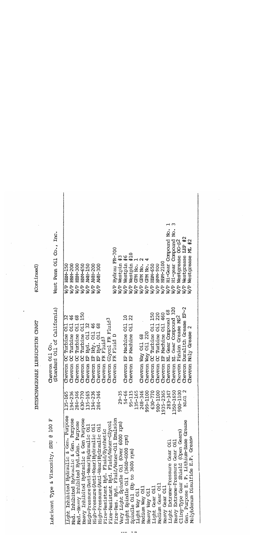(Continued)

INTERCHANGEABLE LUBRICATION CHART

 $\ddot{\phantom{0}}$ 

 $\cdot$ 

Lubricant Type & Viscosity, SSU @ 100 F

Chevron Oil Co.<br>(Standard Oil of California)

|                                                                               |                                          | (Standard Oil of California)                                      | West Penn Oil Co., Inc.                       |
|-------------------------------------------------------------------------------|------------------------------------------|-------------------------------------------------------------------|-----------------------------------------------|
| Light Inhibited Hydraulic & Gen. Purpose                                      | $35 - 165$                               | 32<br>Chevron OC Turbine 011                                      | HBM-150<br>षे<br>श्रे                         |
| Med. Inhibited Hydraulic & Gen. Purpose                                       | $.94 - 236$                              | $46$<br>$68$<br>$150$<br>Chevron CC Turbine Oil                   | HEM-200<br><b>A/R</b>                         |
| Med.-Heavy Inhibited Hyd. & Gen. Purpose                                      | 284-346                                  | CC Turbine Oil<br>Chevron                                         | HEM-300<br>HEM-650                            |
| Heavy Inhibited Hydraulic & Gen Purpose                                       | 630-770<br>135-165<br>194-236<br>284-346 | Turbine Oil<br>$\overline{8}$<br>Chevron                          | <b>BBBB</b><br>8888                           |
| High-Pressure (Anti-Wear) Hydraulic Oil                                       |                                          | Hyd. Oil<br>មិ<br>អ<br>Chevron                                    | <b>AWH-150</b>                                |
| High-Pressure (Anti-Wear) Hydraulic Oil                                       |                                          | 46<br>Hdy. Oil<br>ិ<br>អ្ន<br>Chevron                             | AWH-200                                       |
| High-Pressure (Anti-Wear) Hydraulic Oil                                       |                                          | Hyd. Oil<br>$\beta$<br>Thevron                                    | <b>AWH-300</b><br><b>RVE</b>                  |
|                                                                               |                                          | Fluid <sup>3</sup><br>ER<br><b>Theoron</b>                        |                                               |
| Fire-Resistant Hyd. Fluid/Synthetic<br>Fire-Resistant Hyd. Fluid/Water-Glycol |                                          | Chevron Glycol FR Fluid <sup>3</sup>                              |                                               |
| Fire-Res. Hyd. Fluid/Water-Oil Emulsion                                       |                                          | FR Fluid D<br>Chevron                                             | Hydrau FR-700<br>$W/P$ .                      |
|                                                                               | $29 - 35$                                |                                                                   | Westpin #3                                    |
| Very Light Spindle Oil (Over 6000 rpm)<br>Light Spindle Oil (3600-6000 rpm)   | 54-66                                    | $\frac{2}{2}$<br>Chevron EP Machine Oil<br>Chevron EP Machine Oil | Westpin<br>Westpin<br>GPM No. .<br><b>SSE</b> |
| Spindle Oil (Up to 3600 rpm)                                                  | $95 - 115$                               |                                                                   | 1410                                          |
| Light Way Oil                                                                 | 135-165                                  |                                                                   |                                               |
| Medium Way Oil                                                                | 248-346                                  | Chevron Way Oil 68                                                | GPM No.                                       |
| Heavy Way Oil                                                                 | 999-1100                                 | Way Oil 220<br>Thevron                                            | GPM No.                                       |
| Light Gear Oil                                                                | 530-770                                  | OC Turbine Oil 150<br><b>Thevron</b>                              | <b>HEM-650</b>                                |
| Medium Gear Oil                                                               | 00-1100                                  | 220<br>CC Turbine Oil<br>Thevron                                  | <b>HEM-900</b>                                |
| Heavy Gear Oil                                                                | $5 - 2365$<br>6<br>193<br>1              | EP Machine Oil 460<br>Thevron                                     | HEM-2100                                      |
| Light Extreme-Pressure Gear Oil                                               | $183 - 347$                              | NL Gear Compound 68<br>Thevron                                    | Hi-Gear Compound No.                          |
| Heavy Extreme-Pressure Gear Oil                                               | 1350-1650                                | NL Gear Compound 320<br>Thevron                                   | Hi-gear Compound No.                          |
| Cling-Type Gear Shield (Open Gears)                                           | 00-1100<br>ă                             | Thevron Pinion Grease MS2                                         | Westgrease OG-S2                              |
| Gen. Purpose E. P. Lithium-Base Grease                                        | NUG1 2                                   | Chevron Duralith Grease EP-2                                      | Westgrease LEP #2<br><b>R/R</b>               |
| Molybdenum Disulfide E.P. Grease                                              |                                          | Chevron Moly Grease 2                                             | ML #2<br>Westgrease<br><b>A</b>               |
|                                                                               |                                          |                                                                   |                                               |

.,